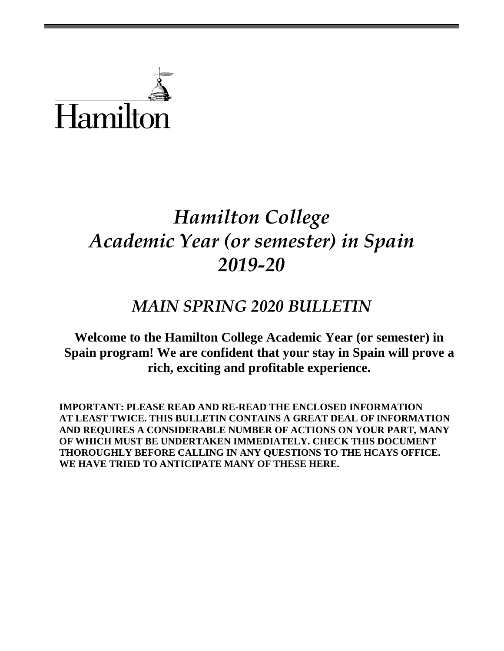

# *Hamilton College Academic Year (or semester) in Spain 2019-20*

## *MAIN SPRING 2020 BULLETIN*

**Welcome to the Hamilton College Academic Year (or semester) in Spain program! We are confident that your stay in Spain will prove a rich, exciting and profitable experience.**

**IMPORTANT: PLEASE READ AND RE-READ THE ENCLOSED INFORMATION AT LEAST TWICE. THIS BULLETIN CONTAINS A GREAT DEAL OF INFORMATION AND REQUIRES A CONSIDERABLE NUMBER OF ACTIONS ON YOUR PART, MANY OF WHICH MUST BE UNDERTAKEN IMMEDIATELY. CHECK THIS DOCUMENT THOROUGHLY BEFORE CALLING IN ANY QUESTIONS TO THE HCAYS OFFICE. WE HAVE TRIED TO ANTICIPATE MANY OF THESE HERE.**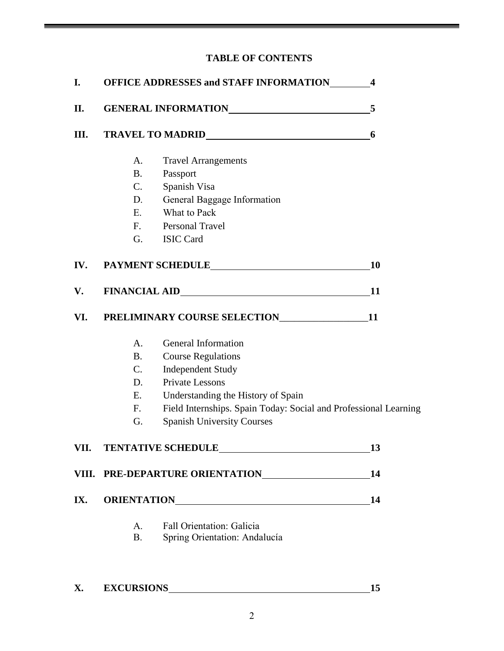## **TABLE OF CONTENTS**

| I.  |                 | <b>OFFICE ADDRESSES and STAFF INFORMATION</b>                                                                                                                                                                                  | $\overline{\mathbf{4}}$ |
|-----|-----------------|--------------------------------------------------------------------------------------------------------------------------------------------------------------------------------------------------------------------------------|-------------------------|
| П.  |                 | GENERAL INFORMATIONNALLY AND THE RESERVE AND THE RESERVE AND THE RESERVE AND THE RESERVE AND THE RESERVE AND THE RESERVE AND THE RESERVE AND THE RESERVE AND THE RESERVE AND THE RESERVE AND THE RESERVE AND THE RESERVE AND T | 5                       |
| Ш.  |                 |                                                                                                                                                                                                                                | 6                       |
|     | A.              | <b>Travel Arrangements</b>                                                                                                                                                                                                     |                         |
|     | <b>B.</b>       | Passport                                                                                                                                                                                                                       |                         |
|     | $C_{\cdot}$     | Spanish Visa                                                                                                                                                                                                                   |                         |
|     | D.              | General Baggage Information                                                                                                                                                                                                    |                         |
|     | E.              | What to Pack                                                                                                                                                                                                                   |                         |
|     | $F_{\rm{eff}}$  | Personal Travel                                                                                                                                                                                                                |                         |
|     | G.              | <b>ISIC Card</b>                                                                                                                                                                                                               |                         |
| IV. |                 | PAYMENT SCHEDULE                                                                                                                                                                                                               | <b>10</b>               |
| V.  |                 |                                                                                                                                                                                                                                | 11                      |
| VI. |                 | PRELIMINARY COURSE SELECTION_________________11                                                                                                                                                                                |                         |
|     | A.              | General Information                                                                                                                                                                                                            |                         |
|     | <b>B.</b>       | <b>Course Regulations</b>                                                                                                                                                                                                      |                         |
|     | $C_{\cdot}$     | <b>Independent Study</b>                                                                                                                                                                                                       |                         |
|     | D.              | <b>Private Lessons</b>                                                                                                                                                                                                         |                         |
|     | E.              | Understanding the History of Spain                                                                                                                                                                                             |                         |
|     | $F_{\cdot}$     | Field Internships. Spain Today: Social and Professional Learning                                                                                                                                                               |                         |
|     | G.              | <b>Spanish University Courses</b>                                                                                                                                                                                              |                         |
|     |                 | VII. TENTATIVE SCHEDULE                                                                                                                                                                                                        | 13                      |
|     |                 | VIII. PRE-DEPARTURE ORIENTATION                                                                                                                                                                                                | 14                      |
| IX. |                 |                                                                                                                                                                                                                                | 14                      |
|     | A.<br><b>B.</b> | <b>Fall Orientation: Galicia</b><br>Spring Orientation: Andalucía                                                                                                                                                              |                         |
|     |                 |                                                                                                                                                                                                                                |                         |

| $\mathbf{x}$<br>$\Lambda$ | <b>EXCURSIONS</b> |  |
|---------------------------|-------------------|--|
|                           |                   |  |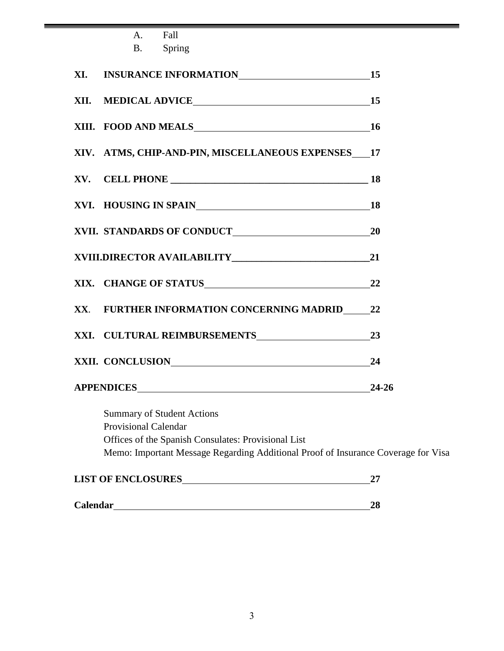| A.                          | Fall                                                                                                                                                                          |       |
|-----------------------------|-------------------------------------------------------------------------------------------------------------------------------------------------------------------------------|-------|
| <b>B</b> .                  | Spring                                                                                                                                                                        |       |
|                             |                                                                                                                                                                               |       |
|                             |                                                                                                                                                                               |       |
|                             |                                                                                                                                                                               |       |
|                             | XIV. ATMS, CHIP-AND-PIN, MISCELLANEOUS EXPENSES 17                                                                                                                            |       |
|                             |                                                                                                                                                                               |       |
|                             | XVI. HOUSING IN SPAIN 18                                                                                                                                                      |       |
|                             |                                                                                                                                                                               |       |
|                             |                                                                                                                                                                               |       |
|                             |                                                                                                                                                                               |       |
|                             | XX. FURTHER INFORMATION CONCERNING MADRID 22                                                                                                                                  |       |
|                             | XXI. CULTURAL REIMBURSEMENTS 23                                                                                                                                               |       |
|                             | XXII. CONCLUSION                                                                                                                                                              | 24    |
|                             | APPENDICES                                                                                                                                                                    | 24-26 |
| <b>Provisional Calendar</b> | <b>Summary of Student Actions</b><br>Offices of the Spanish Consulates: Provisional List<br>Memo: Important Message Regarding Additional Proof of Insurance Coverage for Visa |       |
| <b>LIST OF ENCLOSURES</b>   |                                                                                                                                                                               | 27    |

| Calendar | 70 |
|----------|----|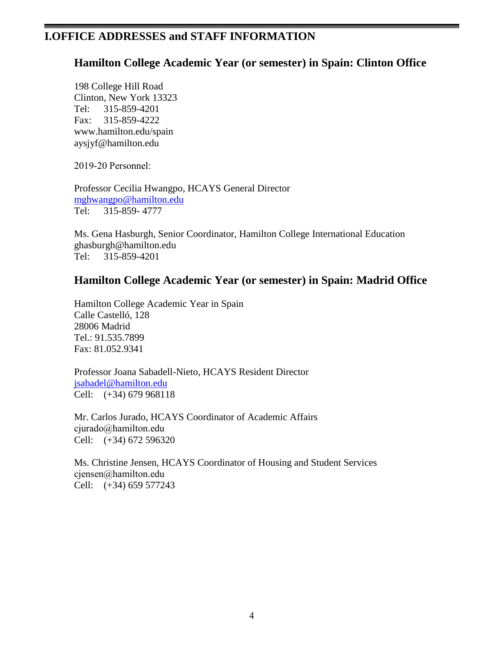## **I.OFFICE ADDRESSES and STAFF INFORMATION**

## **Hamilton College Academic Year (or semester) in Spain: Clinton Office**

198 College Hill Road Clinton, New York 13323 Tel: 315-859-4201 Fax: 315-859-4222 [www.hamilton.edu/spain](http://www.hamilton.edu/spain) [aysjyf@hamilton.edu](mailto:aysjyf@hamilton.edu)

2019-20 Personnel:

Professor Cecilia Hwangpo, HCAYS General Director [mghwangpo@hamilton.edu](mailto:mghwangpo@hamilton.edu) Tel: 315-859- 4777

Ms. Gena Hasburgh, Senior Coordinator, Hamilton College International Education [ghasburgh@hamilton.edu](mailto:ghasburgh@hamilton.edu) Tel: 315-859-4201

## **Hamilton College Academic Year (or semester) in Spain: Madrid Office**

Hamilton College Academic Year in Spain Calle Castelló, 128 28006 Madrid Tel.: 91.535.7899 Fax: 81.052.9341

Professor Joana Sabadell-Nieto, HCAYS Resident Director [jsabadel@hamilton.edu](mailto:jsabadel@hamilton.edu) Cell: (+34) 679 968118

Mr. Carlos Jurado, HCAYS Coordinator of Academic Affairs [cjurado@hamilton.edu](mailto:cjurado@hamilton.edu) Cell: (+34) 672 596320

Ms. Christine Jensen, HCAYS Coordinator of Housing and Student Services [cjensen@hamilton.edu](mailto:cjensen@hamilton.edu) Cell: (+34) 659 577243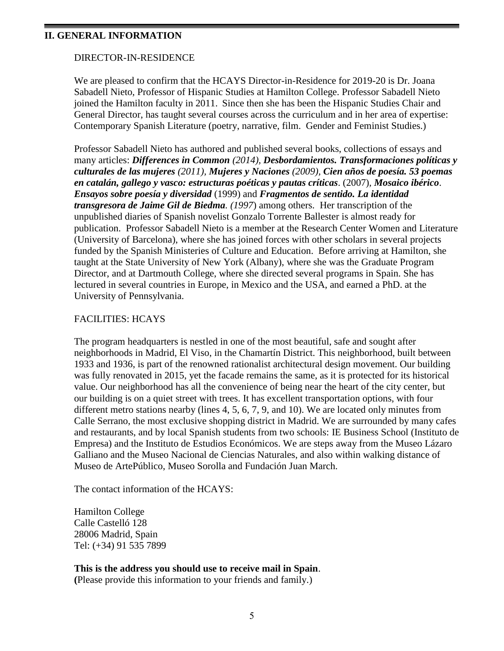#### **II. GENERAL INFORMATION**

#### DIRECTOR-IN-RESIDENCE

We are pleased to confirm that the HCAYS Director-in-Residence for 2019-20 is Dr. Joana Sabadell Nieto, Professor of Hispanic Studies at Hamilton College. Professor Sabadell Nieto joined the Hamilton faculty in 2011. Since then she has been the Hispanic Studies Chair and General Director, has taught several courses across the curriculum and in her area of expertise: Contemporary Spanish Literature (poetry, narrative, film. Gender and Feminist Studies.)

Professor Sabadell Nieto has authored and published several books, collections of essays and many articles: *Differences in Common (2014), Desbordamientos. Transformaciones políticas y culturales de las mujeres (2011), Mujeres y Naciones (2009), Cien años de poesía. 53 poemas en catalán, gallego y vasco: estructuras poéticas y pautas críticas*. (2007)*, Mosaico ibérico*. *Ensayos sobre poesía y diversidad* (1999) and *Fragmentos de sentido. La identidad transgresora de Jaime Gil de Biedma. (1997*) among others. Her transcription of the unpublished diaries of Spanish novelist Gonzalo Torrente Ballester is almost ready for publication. Professor Sabadell Nieto is a member at the Research Center Women and Literature (University of Barcelona), where she has joined forces with other scholars in several projects funded by the Spanish Ministeries of Culture and Education. Before arriving at Hamilton, she taught at the State University of New York (Albany), where she was the Graduate Program Director, and at Dartmouth College, where she directed several programs in Spain. She has lectured in several countries in Europe, in Mexico and the USA, and earned a PhD. at the University of Pennsylvania.

#### FACILITIES: HCAYS

The program headquarters is nestled in one of the most beautiful, safe and sought after neighborhoods in Madrid, El Viso, in the Chamartín District. This neighborhood, built between 1933 and 1936, is part of the renowned rationalist architectural design movement. Our building was fully renovated in 2015, yet the facade remains the same, as it is protected for its historical value. Our neighborhood has all the convenience of being near the heart of the city center, but our building is on a quiet street with trees. It has excellent transportation options, with four different metro stations nearby (lines 4, 5, 6, 7, 9, and 10). We are located only minutes from Calle Serrano, the most exclusive shopping district in Madrid. We are surrounded by many cafes and restaurants, and by local Spanish students from two schools: IE Business School (Instituto de Empresa) and the Instituto de Estudios Económicos. We are steps away from the Museo Lázaro Galliano and the Museo Nacional de Ciencias Naturales, and also within walking distance of Museo de ArtePúblico, Museo Sorolla and Fundación Juan March.

The contact information of the HCAYS:

Hamilton College Calle Castelló 128 28006 Madrid, Spain Tel: (+34) 91 535 7899

#### **This is the address you should use to receive mail in Spain**.

**(**Please provide this information to your friends and family.)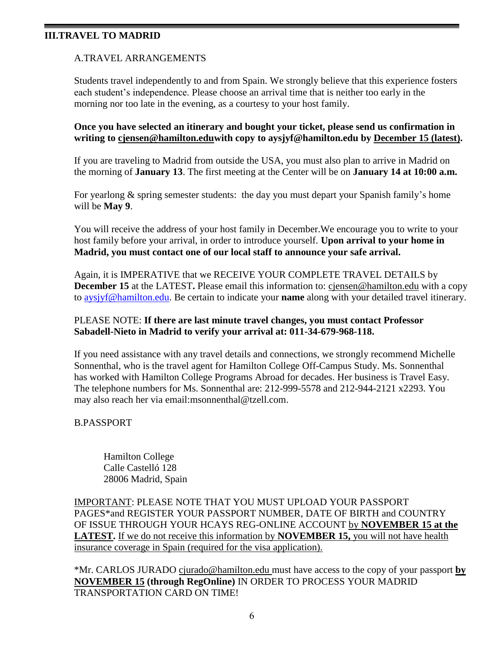#### **III.TRAVEL TO MADRID**

### A.TRAVEL ARRANGEMENTS

Students travel independently to and from Spain. We strongly believe that this experience fosters each student's independence. Please choose an arrival time that is neither too early in the morning nor too late in the evening, as a courtesy to your host family.

#### **Once you have selected an itinerary and bought your ticket, please send us confirmation in writing to [cjensen@hamilton.eduw](mailto:cjensen@hamilton.edu)ith copy to [aysjyf@hamilton.edu](mailto:cjensen@hamilton.edu) by December 15 (latest).**

If you are traveling to Madrid from outside the USA, you must also plan to arrive in Madrid on the morning of **January 13**. The first meeting at the Center will be on **January 14 at 10:00 a.m.**

For yearlong & spring semester students: the day you must depart your Spanish family's home will be **May 9**.

You will receive the address of your host family in December.We encourage you to write to your host family before your arrival, in order to introduce yourself. **Upon arrival to your home in Madrid, you must contact one of our local staff to announce your safe arrival.**

Again, it is IMPERATIVE that we RECEIVE YOUR COMPLETE TRAVEL DETAILS by **December 15** at the LATEST**.** Please email this information to: [cjensen@hamilton.edu](mailto:cjensen@hamilton.edu) with a copy to [aysjyf@hamilton.edu.](mailto:aysjyf@hamilton.edu) Be certain to indicate your **name** along with your detailed travel itinerary.

### PLEASE NOTE: **If there are last minute travel changes, you must contact Professor Sabadell-Nieto in Madrid to verify your arrival at: 011-34-679-968-118.**

If you need assistance with any travel details and connections, we strongly recommend Michelle Sonnenthal, who is the travel agent for Hamilton College Off-Campus Study. Ms. Sonnenthal has worked with Hamilton College Programs Abroad for decades. Her business is Travel Easy. The telephone numbers for Ms. Sonnenthal are: 212-999-5578 and 212-944-2121 x2293. You may also reach her via email[:msonnenthal@tzell.com.](mailto:msonnenthal@tzell.com)

#### B.PASSPORT

Hamilton College Calle Castelló 128 28006 Madrid, Spain

IMPORTANT: PLEASE NOTE THAT YOU MUST UPLOAD YOUR PASSPORT PAGES\*and REGISTER YOUR PASSPORT NUMBER, DATE OF BIRTH and COUNTRY OF ISSUE THROUGH YOUR HCAYS REG-ONLINE ACCOUNT by **NOVEMBER 15 at the LATEST.** If we do not receive this information by **NOVEMBER 15,** you will not have health insurance coverage in Spain (required for the visa application).

\*Mr. CARLOS JURADO [cjurado@hamilton.edu](mailto:cjurado@hamilton.edu) must have access to the copy of your passport **by NOVEMBER 15 (through RegOnline)** IN ORDER TO PROCESS YOUR MADRID TRANSPORTATION CARD ON TIME!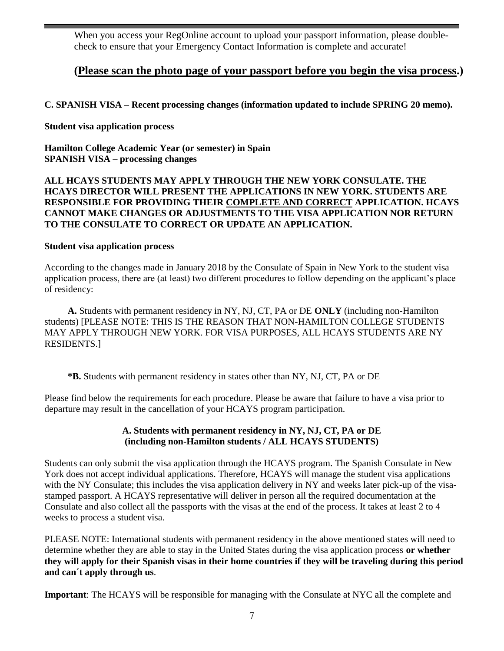When you access your RegOnline account to upload your passport information, please doublecheck to ensure that your Emergency Contact Information is complete and accurate!

## **(Please scan the photo page of your passport before you begin the visa process.)**

## **C. SPANISH VISA – Recent processing changes (information updated to include SPRING 20 memo).**

**Student visa application process**

**Hamilton College Academic Year (or semester) in Spain SPANISH VISA – processing changes** 

#### **ALL HCAYS STUDENTS MAY APPLY THROUGH THE NEW YORK CONSULATE. THE HCAYS DIRECTOR WILL PRESENT THE APPLICATIONS IN NEW YORK. STUDENTS ARE RESPONSIBLE FOR PROVIDING THEIR COMPLETE AND CORRECT APPLICATION. HCAYS CANNOT MAKE CHANGES OR ADJUSTMENTS TO THE VISA APPLICATION NOR RETURN TO THE CONSULATE TO CORRECT OR UPDATE AN APPLICATION.**

#### **Student visa application process**

According to the changes made in January 2018 by the Consulate of Spain in New York to the student visa application process, there are (at least) two different procedures to follow depending on the applicant's place of residency:

**A.** Students with permanent residency in NY, NJ, CT, PA or DE **ONLY** (including non-Hamilton students) [PLEASE NOTE: THIS IS THE REASON THAT NON-HAMILTON COLLEGE STUDENTS MAY APPLY THROUGH NEW YORK. FOR VISA PURPOSES, ALL HCAYS STUDENTS ARE NY RESIDENTS.]

**\*B.** Students with permanent residency in states other than NY, NJ, CT, PA or DE

Please find below the requirements for each procedure. Please be aware that failure to have a visa prior to departure may result in the cancellation of your HCAYS program participation.

### **A. Students with permanent residency in NY, NJ, CT, PA or DE (including non-Hamilton students / ALL HCAYS STUDENTS)**

Students can only submit the visa application through the HCAYS program. The Spanish Consulate in New York does not accept individual applications. Therefore, HCAYS will manage the student visa applications with the NY Consulate; this includes the visa application delivery in NY and weeks later pick-up of the visastamped passport. A HCAYS representative will deliver in person all the required documentation at the Consulate and also collect all the passports with the visas at the end of the process. It takes at least 2 to 4 weeks to process a student visa.

PLEASE NOTE: International students with permanent residency in the above mentioned states will need to determine whether they are able to stay in the United States during the visa application process **or whether they will apply for their Spanish visas in their home countries if they will be traveling during this period and can´t apply through us**.

**Important**: The HCAYS will be responsible for managing with the Consulate at NYC all the complete and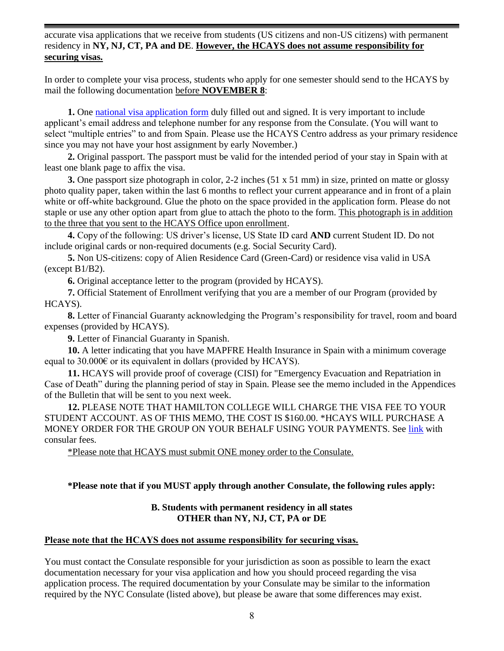accurate visa applications that we receive from students (US citizens and non-US citizens) with permanent residency in **NY, NJ, CT, PA and DE**. **However, the HCAYS does not assume responsibility for securing visas.** 

In order to complete your visa process, students who apply for one semester should send to the HCAYS by mail the following documentation before **NOVEMBER 8**:

**1.** One [national visa application form](http://www.exteriores.gob.es/Consulados/NUEVAYORK/en/ServiciosConsulares/Documents/2010Solicitud%20de%20visado%20nacional%20-%20EN.pdf) duly filled out and signed. It is very important to include applicant's email address and telephone number for any response from the Consulate. (You will want to select "multiple entries" to and from Spain. Please use the HCAYS Centro address as your primary residence since you may not have your host assignment by early November.)

**2.** Original passport. The passport must be valid for the intended period of your stay in Spain with at least one blank page to affix the visa.

**3.** One passport size photograph in color, 2-2 inches (51 x 51 mm) in size, printed on matte or glossy photo quality paper, taken within the last 6 months to reflect your current appearance and in front of a plain white or off-white background. Glue the photo on the space provided in the application form. Please do not staple or use any other option apart from glue to attach the photo to the form. This photograph is in addition to the three that you sent to the HCAYS Office upon enrollment.

**4.** Copy of the following: US driver's license, US State ID card **AND** current Student ID. Do not include original cards or non-required documents (e.g. Social Security Card).

**5.** Non US-citizens: copy of Alien Residence Card (Green-Card) or residence visa valid in USA (except B1/B2).

**6.** Original acceptance letter to the program (provided by HCAYS).

**7.** Official Statement of Enrollment verifying that you are a member of our Program (provided by HCAYS).

**8.** Letter of Financial Guaranty acknowledging the Program's responsibility for travel, room and board expenses (provided by HCAYS).

**9.** Letter of Financial Guaranty in Spanish.

**10.** A letter indicating that you have MAPFRE Health Insurance in Spain with a minimum coverage equal to 30.000 $\epsilon$  or its equivalent in dollars (provided by HCAYS).

**11.** HCAYS will provide proof of coverage (CISI) for "Emergency Evacuation and Repatriation in Case of Death" during the planning period of stay in Spain. Please see the memo included in the Appendices of the Bulletin that will be sent to you next week.

**12.** PLEASE NOTE THAT HAMILTON COLLEGE WILL CHARGE THE VISA FEE TO YOUR STUDENT ACCOUNT. AS OF THIS MEMO, THE COST IS \$160.00. \*HCAYS WILL PURCHASE A MONEY ORDER FOR THE GROUP ON YOUR BEHALF USING YOUR PAYMENTS. See [link](http://www.exteriores.gob.es/Consulados/NUEVAYORK/en/ServiciosConsulares/Pages/CSNewyork/Consular-Fees-New-York.aspx) with consular fees.

\*Please note that HCAYS must submit ONE money order to the Consulate.

#### **\*Please note that if you MUST apply through another Consulate, the following rules apply:**

#### **B. Students with permanent residency in all states OTHER than NY, NJ, CT, PA or DE**

#### **Please note that the HCAYS does not assume responsibility for securing visas.**

You must contact the Consulate responsible for your jurisdiction as soon as possible to learn the exact documentation necessary for your visa application and how you should proceed regarding the visa application process. The required documentation by your Consulate may be similar to the information required by the NYC Consulate (listed above), but please be aware that some differences may exist.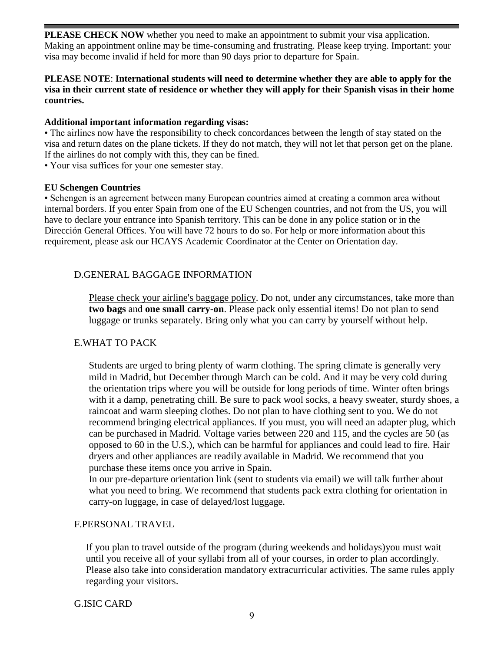**PLEASE CHECK NOW** whether you need to make an appointment to submit your visa application. Making an appointment online may be time-consuming and frustrating. Please keep trying. Important: your visa may become invalid if held for more than 90 days prior to departure for Spain.

#### **PLEASE NOTE**: **International students will need to determine whether they are able to apply for the visa in their current state of residence or whether they will apply for their Spanish visas in their home countries.**

#### **Additional important information regarding visas:**

• The airlines now have the responsibility to check concordances between the length of stay stated on the visa and return dates on the plane tickets. If they do not match, they will not let that person get on the plane. If the airlines do not comply with this, they can be fined.

• Your visa suffices for your one semester stay.

#### **EU Schengen Countries**

• Schengen is an agreement between many European countries aimed at creating a common area without internal borders. If you enter Spain from one of the EU Schengen countries, and not from the US, you will have to declare your entrance into Spanish territory. This can be done in any police station or in the Dirección General Offices. You will have 72 hours to do so. For help or more information about this requirement, please ask our HCAYS Academic Coordinator at the Center on Orientation day.

#### D.GENERAL BAGGAGE INFORMATION

Please check your airline's baggage policy. Do not, under any circumstances, take more than **two bags** and **one small carry-on**. Please pack only essential items! Do not plan to send luggage or trunks separately. Bring only what you can carry by yourself without help.

#### E.WHAT TO PACK

Students are urged to bring plenty of warm clothing. The spring climate is generally very mild in Madrid, but December through March can be cold. And it may be very cold during the orientation trips where you will be outside for long periods of time. Winter often brings with it a damp, penetrating chill. Be sure to pack wool socks, a heavy sweater, sturdy shoes, a raincoat and warm sleeping clothes. Do not plan to have clothing sent to you. We do not recommend bringing electrical appliances. If you must, you will need an adapter plug, which can be purchased in Madrid. Voltage varies between 220 and 115, and the cycles are 50 (as opposed to 60 in the U.S.), which can be harmful for appliances and could lead to fire. Hair dryers and other appliances are readily available in Madrid. We recommend that you purchase these items once you arrive in Spain.

In our pre-departure orientation link (sent to students via email) we will talk further about what you need to bring. We recommend that students pack extra clothing for orientation in carry-on luggage, in case of delayed/lost luggage.

#### F.PERSONAL TRAVEL

If you plan to travel outside of the program (during weekends and holidays)you must wait until you receive all of your syllabi from all of your courses, in order to plan accordingly. Please also take into consideration mandatory extracurricular activities. The same rules apply regarding your visitors.

G.ISIC CARD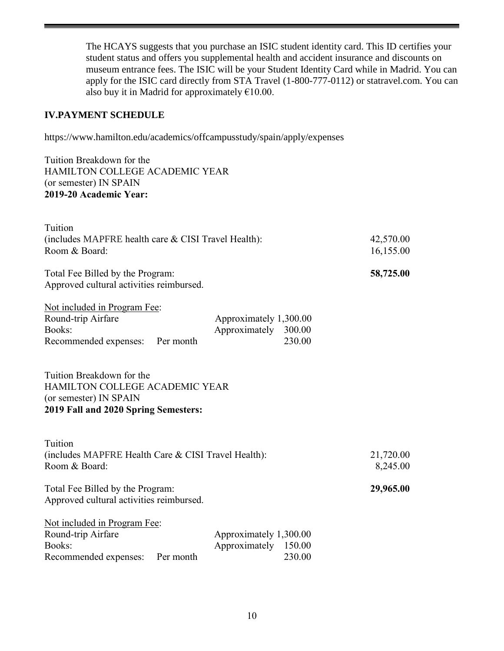The HCAYS suggests that you purchase an ISIC student identity card. This ID certifies your student status and offers you supplemental health and accident insurance and discounts on museum entrance fees. The ISIC will be your Student Identity Card while in Madrid. You can apply for the ISIC card directly from STA Travel (1-800-777-0112) or statravel.com. You can also buy it in Madrid for approximately  $€10.00$ .

## **IV.PAYMENT SCHEDULE**

https://www.hamilton.edu/academics/offcampusstudy/spain/apply/expenses

Tuition Breakdown for the HAMILTON COLLEGE ACADEMIC YEAR (or semester) IN SPAIN **2019-20 Academic Year:**

| Tuition                                                                                                                       |                                                |                  |                        |
|-------------------------------------------------------------------------------------------------------------------------------|------------------------------------------------|------------------|------------------------|
| (includes MAPFRE health care & CISI Travel Health):<br>Room & Board:                                                          |                                                |                  | 42,570.00<br>16,155.00 |
| Total Fee Billed by the Program:<br>Approved cultural activities reimbursed.                                                  |                                                |                  | 58,725.00              |
| Not included in Program Fee:<br>Round-trip Airfare<br>Books:<br>Recommended expenses:<br>Per month                            | Approximately 1,300.00<br>Approximately 300.00 | 230.00           |                        |
| Tuition Breakdown for the<br>HAMILTON COLLEGE ACADEMIC YEAR<br>(or semester) IN SPAIN<br>2019 Fall and 2020 Spring Semesters: |                                                |                  |                        |
| Tuition<br>(includes MAPFRE Health Care & CISI Travel Health):<br>Room & Board:                                               |                                                |                  | 21,720.00<br>8,245.00  |
| Total Fee Billed by the Program:<br>Approved cultural activities reimbursed.                                                  |                                                |                  | 29,965.00              |
| Not included in Program Fee:<br>Round-trip Airfare<br>Books:<br>Recommended expenses:<br>Per month                            | Approximately 1,300.00<br>Approximately        | 150.00<br>230.00 |                        |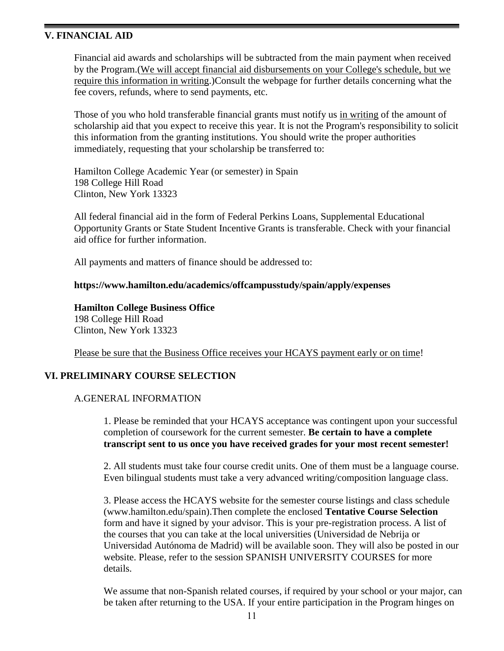#### **V. FINANCIAL AID**

Financial aid awards and scholarships will be subtracted from the main payment when received by the Program.(We will accept financial aid disbursements on your College's schedule, but we require this information in writing.)Consult the webpage for further details concerning what the fee covers, refunds, where to send payments, etc.

Those of you who hold transferable financial grants must notify us in writing of the amount of scholarship aid that you expect to receive this year. It is not the Program's responsibility to solicit this information from the granting institutions. You should write the proper authorities immediately, requesting that your scholarship be transferred to:

Hamilton College Academic Year (or semester) in Spain 198 College Hill Road Clinton, New York 13323

All federal financial aid in the form of Federal Perkins Loans, Supplemental Educational Opportunity Grants or State Student Incentive Grants is transferable. Check with your financial aid office for further information.

All payments and matters of finance should be addressed to:

#### **https://www.hamilton.edu/academics/offcampusstudy/spain/apply/expenses**

**Hamilton College Business Office** 198 College Hill Road Clinton, New York 13323

Please be sure that the Business Office receives your HCAYS payment early or on time!

#### **VI. PRELIMINARY COURSE SELECTION**

#### A.GENERAL INFORMATION

1. Please be reminded that your HCAYS acceptance was contingent upon your successful completion of coursework for the current semester. **Be certain to have a complete transcript sent to us once you have received grades for your most recent semester!**

2. All students must take four course credit units. One of them must be a language course. Even bilingual students must take a very advanced writing/composition language class.

3. Please access the HCAYS website for the semester course listings and class schedule (www.hamilton.edu/spain).Then complete the enclosed **Tentative Course Selection** form and have it signed by your advisor. This is your pre-registration process. A list of the courses that you can take at the local universities (Universidad de Nebrija or Universidad Autónoma de Madrid) will be available soon. They will also be posted in our website. Please, refer to the session SPANISH UNIVERSITY COURSES for more details.

We assume that non-Spanish related courses, if required by your school or your major, can be taken after returning to the USA. If your entire participation in the Program hinges on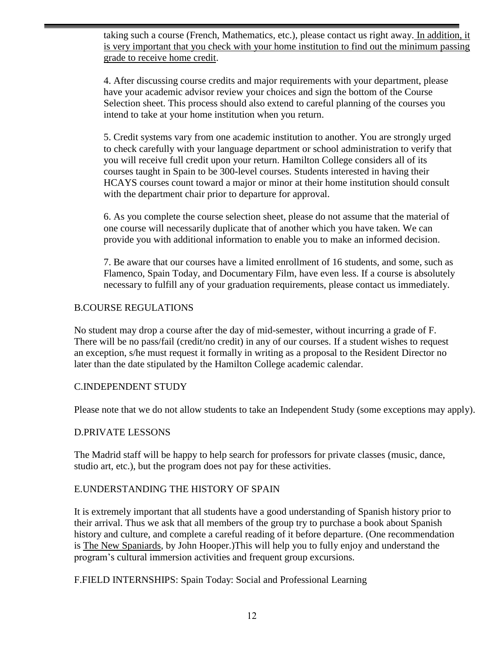taking such a course (French, Mathematics, etc.), please contact us right away. In addition, it is very important that you check with your home institution to find out the minimum passing grade to receive home credit.

4. After discussing course credits and major requirements with your department, please have your academic advisor review your choices and sign the bottom of the Course Selection sheet. This process should also extend to careful planning of the courses you intend to take at your home institution when you return.

5. Credit systems vary from one academic institution to another. You are strongly urged to check carefully with your language department or school administration to verify that you will receive full credit upon your return. Hamilton College considers all of its courses taught in Spain to be 300-level courses. Students interested in having their HCAYS courses count toward a major or minor at their home institution should consult with the department chair prior to departure for approval.

6. As you complete the course selection sheet, please do not assume that the material of one course will necessarily duplicate that of another which you have taken. We can provide you with additional information to enable you to make an informed decision.

7. Be aware that our courses have a limited enrollment of 16 students, and some, such as Flamenco, Spain Today, and Documentary Film, have even less. If a course is absolutely necessary to fulfill any of your graduation requirements, please contact us immediately.

## B.COURSE REGULATIONS

No student may drop a course after the day of mid-semester, without incurring a grade of F. There will be no pass/fail (credit/no credit) in any of our courses. If a student wishes to request an exception, s/he must request it formally in writing as a proposal to the Resident Director no later than the date stipulated by the Hamilton College academic calendar.

#### C.INDEPENDENT STUDY

Please note that we do not allow students to take an Independent Study (some exceptions may apply).

#### D.PRIVATE LESSONS

The Madrid staff will be happy to help search for professors for private classes (music, dance, studio art, etc.), but the program does not pay for these activities.

#### E.UNDERSTANDING THE HISTORY OF SPAIN

It is extremely important that all students have a good understanding of Spanish history prior to their arrival. Thus we ask that all members of the group try to purchase a book about Spanish history and culture, and complete a careful reading of it before departure. (One recommendation is The New Spaniards, by John Hooper.)This will help you to fully enjoy and understand the program's cultural immersion activities and frequent group excursions.

F.FIELD INTERNSHIPS: Spain Today: Social and Professional Learning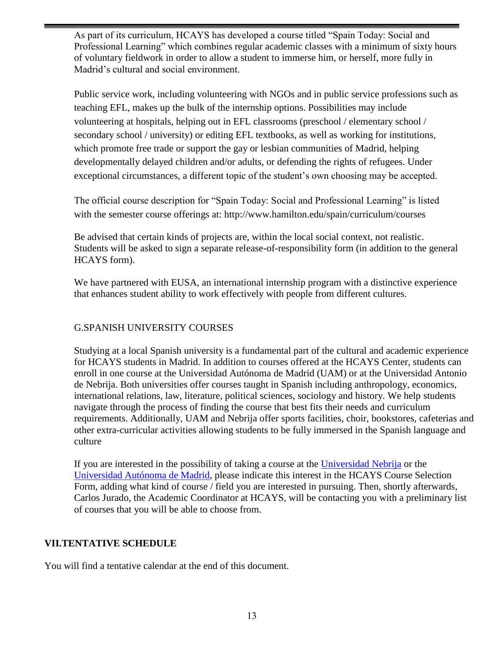As part of its curriculum, HCAYS has developed a course titled "Spain Today: Social and Professional Learning" which combines regular academic classes with a minimum of sixty hours of voluntary fieldwork in order to allow a student to immerse him, or herself, more fully in Madrid's cultural and social environment.

Public service work, including volunteering with NGOs and in public service professions such as teaching EFL, makes up the bulk of the internship options. Possibilities may include volunteering at hospitals, helping out in EFL classrooms (preschool / elementary school / secondary school / university) or editing EFL textbooks, as well as working for institutions, which promote free trade or support the gay or lesbian communities of Madrid, helping developmentally delayed children and/or adults, or defending the rights of refugees. Under exceptional circumstances, a different topic of the student's own choosing may be accepted.

The official course description for "Spain Today: Social and Professional Learning" is listed with the semester course offerings at: http://www.hamilton.edu/spain/curriculum/courses

Be advised that certain kinds of projects are, within the local social context, not realistic. Students will be asked to sign a separate release-of-responsibility form (in addition to the general HCAYS form).

We have partnered with EUSA, an international internship program with a distinctive experience that enhances student ability to work effectively with people from different cultures.

## G.SPANISH UNIVERSITY COURSES

Studying at a local Spanish university is a fundamental part of the cultural and academic experience for HCAYS students in Madrid. In addition to courses offered at the HCAYS Center, students can enroll in one course at the Universidad Autónoma de Madrid (UAM) or at the Universidad Antonio de Nebrija. Both universities offer courses taught in Spanish including anthropology, economics, international relations, law, literature, political sciences, sociology and history. We help students navigate through the process of finding the course that best fits their needs and curriculum requirements. Additionally, UAM and Nebrija offer sports facilities, choir, bookstores, cafeterias and other extra-curricular activities allowing students to be fully immersed in the Spanish language and culture

If you are interested in the possibility of taking a course at the [Universidad Nebrija](http://www.nebrija.com/estudios/) or the [Universidad Autónoma de Madrid,](http://www.uam.es/ss/Satellite/en/home.htm) please indicate this interest in the HCAYS Course Selection Form, adding what kind of course / field you are interested in pursuing. Then, shortly afterwards, Carlos Jurado, the Academic Coordinator at HCAYS, will be contacting you with a preliminary list of courses that you will be able to choose from.

## **VII.TENTATIVE SCHEDULE**

You will find a tentative calendar at the end of this document.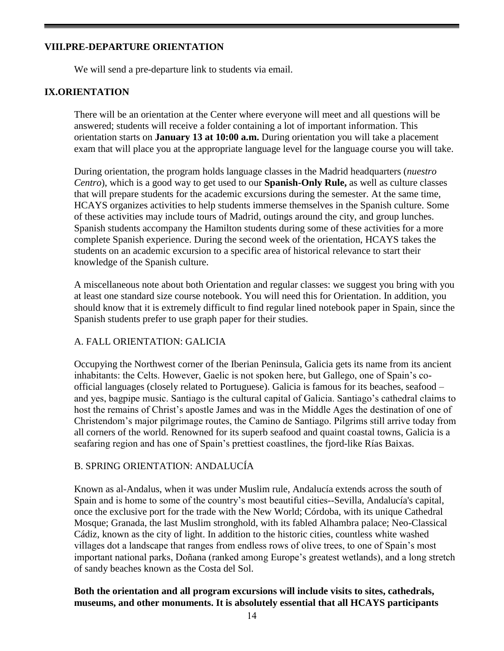## **VIII.PRE-DEPARTURE ORIENTATION**

We will send a pre-departure link to students via email.

## **IX.ORIENTATION**

There will be an orientation at the Center where everyone will meet and all questions will be answered; students will receive a folder containing a lot of important information. This orientation starts on **January 13 at 10:00 a.m.** During orientation you will take a placement exam that will place you at the appropriate language level for the language course you will take.

During orientation, the program holds language classes in the Madrid headquarters (*nuestro Centro*), which is a good way to get used to our **Spanish-Only Rule,** as well as culture classes that will prepare students for the academic excursions during the semester. At the same time, HCAYS organizes activities to help students immerse themselves in the Spanish culture. Some of these activities may include tours of Madrid, outings around the city, and group lunches. Spanish students accompany the Hamilton students during some of these activities for a more complete Spanish experience. During the second week of the orientation, HCAYS takes the students on an academic excursion to a specific area of historical relevance to start their knowledge of the Spanish culture.

A miscellaneous note about both Orientation and regular classes: we suggest you bring with you at least one standard size course notebook. You will need this for Orientation. In addition, you should know that it is extremely difficult to find regular lined notebook paper in Spain, since the Spanish students prefer to use graph paper for their studies.

#### A. FALL ORIENTATION: GALICIA

Occupying the Northwest corner of the Iberian Peninsula, Galicia gets its name from its ancient inhabitants: the Celts. However, Gaelic is not spoken here, but Gallego, one of Spain's coofficial languages (closely related to Portuguese). Galicia is famous for its beaches, seafood – and yes, bagpipe music. Santiago is the cultural capital of Galicia. Santiago's cathedral claims to host the remains of Christ's apostle James and was in the Middle Ages the destination of one of Christendom's major pilgrimage routes, the Camino de Santiago. Pilgrims still arrive today from all corners of the world. Renowned for its superb seafood and quaint coastal towns, Galicia is a seafaring region and has one of Spain's prettiest coastlines, the fjord-like Rías Baixas.

#### B. SPRING ORIENTATION: ANDALUCÍA

Known as al-Andalus, when it was under Muslim rule, Andalucía extends across the south of Spain and is home to some of the country's most beautiful cities--Sevilla, Andalucía's capital, once the exclusive port for the trade with the New World; Córdoba, with its unique Cathedral Mosque; Granada, the last Muslim stronghold, with its fabled Alhambra palace; Neo-Classical Cádiz, known as the city of light. In addition to the historic cities, countless white washed villages dot a landscape that ranges from endless rows of olive trees, to one of Spain's most important national parks, Doñana (ranked among Europe's greatest wetlands), and a long stretch of sandy beaches known as the Costa del Sol.

### **Both the orientation and all program excursions will include visits to sites, cathedrals, museums, and other monuments. It is absolutely essential that all HCAYS participants**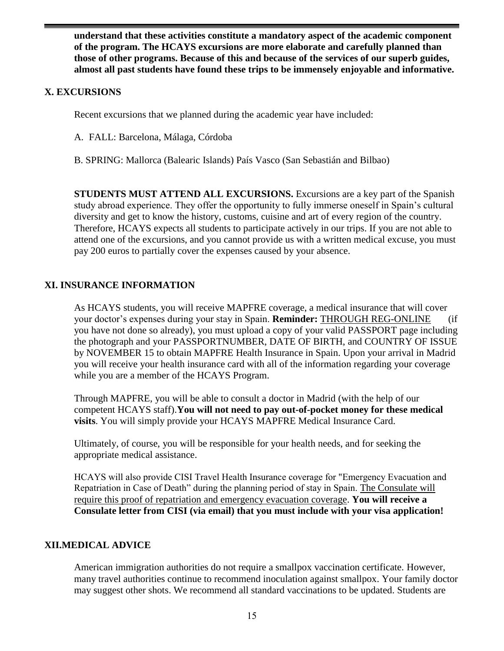**understand that these activities constitute a mandatory aspect of the academic component of the program. The HCAYS excursions are more elaborate and carefully planned than those of other programs. Because of this and because of the services of our superb guides, almost all past students have found these trips to be immensely enjoyable and informative.**

## **X. EXCURSIONS**

Recent excursions that we planned during the academic year have included:

- A. FALL: Barcelona, Málaga, Córdoba
- B. SPRING: Mallorca (Balearic Islands) País Vasco (San Sebastián and Bilbao)

**STUDENTS MUST ATTEND ALL EXCURSIONS.** Excursions are a key part of the Spanish study abroad experience. They offer the opportunity to fully immerse oneself in Spain's cultural diversity and get to know the history, customs, cuisine and art of every region of the country. Therefore, HCAYS expects all students to participate actively in our trips. If you are not able to attend one of the excursions, and you cannot provide us with a written medical excuse, you must pay 200 euros to partially cover the expenses caused by your absence.

## **XI. INSURANCE INFORMATION**

As HCAYS students, you will receive MAPFRE coverage, a medical insurance that will cover your doctor's expenses during your stay in Spain. **Reminder:** THROUGH REG-ONLINE (if you have not done so already), you must upload a copy of your valid PASSPORT page including the photograph and your PASSPORTNUMBER, DATE OF BIRTH, and COUNTRY OF ISSUE by NOVEMBER 15 to obtain MAPFRE Health Insurance in Spain. Upon your arrival in Madrid you will receive your health insurance card with all of the information regarding your coverage while you are a member of the HCAYS Program.

Through MAPFRE, you will be able to consult a doctor in Madrid (with the help of our competent HCAYS staff).**You will not need to pay out-of-pocket money for these medical visits**. You will simply provide your HCAYS MAPFRE Medical Insurance Card.

Ultimately, of course, you will be responsible for your health needs, and for seeking the appropriate medical assistance.

HCAYS will also provide CISI Travel Health Insurance coverage for "Emergency Evacuation and Repatriation in Case of Death" during the planning period of stay in Spain. The Consulate will require this proof of repatriation and emergency evacuation coverage. **You will receive a Consulate letter from CISI (via email) that you must include with your visa application!**

## **XII.MEDICAL ADVICE**

American immigration authorities do not require a smallpox vaccination certificate. However, many travel authorities continue to recommend inoculation against smallpox. Your family doctor may suggest other shots. We recommend all standard vaccinations to be updated. Students are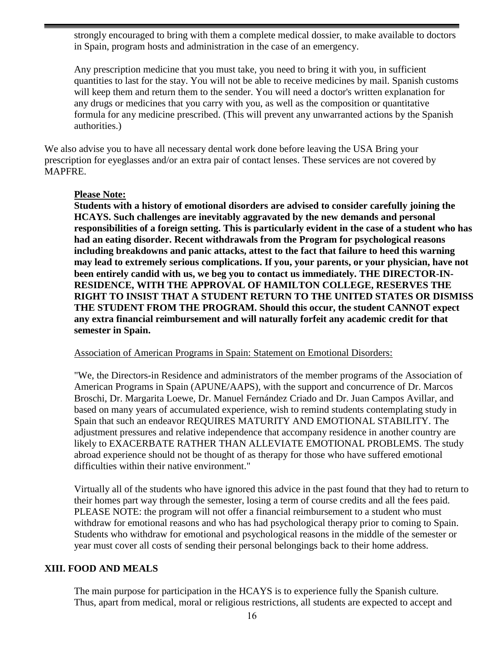strongly encouraged to bring with them a complete medical dossier, to make available to doctors in Spain, program hosts and administration in the case of an emergency.

Any prescription medicine that you must take, you need to bring it with you, in sufficient quantities to last for the stay. You will not be able to receive medicines by mail. Spanish customs will keep them and return them to the sender. You will need a doctor's written explanation for any drugs or medicines that you carry with you, as well as the composition or quantitative formula for any medicine prescribed. (This will prevent any unwarranted actions by the Spanish authorities.)

We also advise you to have all necessary dental work done before leaving the USA Bring your prescription for eyeglasses and/or an extra pair of contact lenses. These services are not covered by MAPFRE.

### **Please Note:**

**Students with a history of emotional disorders are advised to consider carefully joining the HCAYS. Such challenges are inevitably aggravated by the new demands and personal responsibilities of a foreign setting. This is particularly evident in the case of a student who has had an eating disorder. Recent withdrawals from the Program for psychological reasons including breakdowns and panic attacks, attest to the fact that failure to heed this warning may lead to extremely serious complications. If you, your parents, or your physician, have not been entirely candid with us, we beg you to contact us immediately. THE DIRECTOR-IN-RESIDENCE, WITH THE APPROVAL OF HAMILTON COLLEGE, RESERVES THE RIGHT TO INSIST THAT A STUDENT RETURN TO THE UNITED STATES OR DISMISS THE STUDENT FROM THE PROGRAM. Should this occur, the student CANNOT expect any extra financial reimbursement and will naturally forfeit any academic credit for that semester in Spain.**

#### Association of American Programs in Spain: Statement on Emotional Disorders:

"We, the Directors-in Residence and administrators of the member programs of the Association of American Programs in Spain (APUNE/AAPS), with the support and concurrence of Dr. Marcos Broschi, Dr. Margarita Loewe, Dr. Manuel Fernández Criado and Dr. Juan Campos Avillar, and based on many years of accumulated experience, wish to remind students contemplating study in Spain that such an endeavor REQUIRES MATURITY AND EMOTIONAL STABILITY. The adjustment pressures and relative independence that accompany residence in another country are likely to EXACERBATE RATHER THAN ALLEVIATE EMOTIONAL PROBLEMS. The study abroad experience should not be thought of as therapy for those who have suffered emotional difficulties within their native environment."

Virtually all of the students who have ignored this advice in the past found that they had to return to their homes part way through the semester, losing a term of course credits and all the fees paid. PLEASE NOTE: the program will not offer a financial reimbursement to a student who must withdraw for emotional reasons and who has had psychological therapy prior to coming to Spain. Students who withdraw for emotional and psychological reasons in the middle of the semester or year must cover all costs of sending their personal belongings back to their home address.

## **XIII. FOOD AND MEALS**

The main purpose for participation in the HCAYS is to experience fully the Spanish culture. Thus, apart from medical, moral or religious restrictions, all students are expected to accept and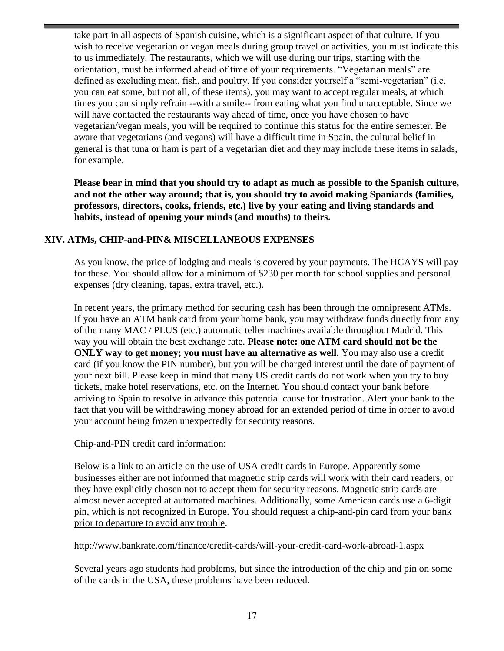take part in all aspects of Spanish cuisine, which is a significant aspect of that culture. If you wish to receive vegetarian or vegan meals during group travel or activities, you must indicate this to us immediately. The restaurants, which we will use during our trips, starting with the orientation, must be informed ahead of time of your requirements. "Vegetarian meals" are defined as excluding meat, fish, and poultry. If you consider yourself a "semi-vegetarian" (i.e. you can eat some, but not all, of these items), you may want to accept regular meals, at which times you can simply refrain --with a smile-- from eating what you find unacceptable. Since we will have contacted the restaurants way ahead of time, once you have chosen to have vegetarian/vegan meals, you will be required to continue this status for the entire semester. Be aware that vegetarians (and vegans) will have a difficult time in Spain, the cultural belief in general is that tuna or ham is part of a vegetarian diet and they may include these items in salads, for example.

**Please bear in mind that you should try to adapt as much as possible to the Spanish culture, and not the other way around; that is, you should try to avoid making Spaniards (families, professors, directors, cooks, friends, etc.) live by your eating and living standards and habits, instead of opening your minds (and mouths) to theirs.**

## **XIV. ATMs, CHIP-and-PIN& MISCELLANEOUS EXPENSES**

As you know, the price of lodging and meals is covered by your payments. The HCAYS will pay for these. You should allow for a minimum of \$230 per month for school supplies and personal expenses (dry cleaning, tapas, extra travel, etc.).

In recent years, the primary method for securing cash has been through the omnipresent ATMs. If you have an ATM bank card from your home bank, you may withdraw funds directly from any of the many MAC / PLUS (etc.) automatic teller machines available throughout Madrid. This way you will obtain the best exchange rate. **Please note: one ATM card should not be the ONLY** way to get money; you must have an alternative as well. You may also use a credit card (if you know the PIN number), but you will be charged interest until the date of payment of your next bill. Please keep in mind that many US credit cards do not work when you try to buy tickets, make hotel reservations, etc. on the Internet. You should contact your bank before arriving to Spain to resolve in advance this potential cause for frustration. Alert your bank to the fact that you will be withdrawing money abroad for an extended period of time in order to avoid your account being frozen unexpectedly for security reasons.

Chip-and-PIN credit card information:

Below is a link to an article on the use of USA credit cards in Europe. Apparently some businesses either are not informed that magnetic strip cards will work with their card readers, or they have explicitly chosen not to accept them for security reasons. Magnetic strip cards are almost never accepted at automated machines. Additionally, some American cards use a 6-digit pin, which is not recognized in Europe. You should request a chip-and-pin card from your bank prior to departure to avoid any trouble.

<http://www.bankrate.com/finance/credit-cards/will-your-credit-card-work-abroad-1.aspx>

Several years ago students had problems, but since the introduction of the chip and pin on some of the cards in the USA, these problems have been reduced.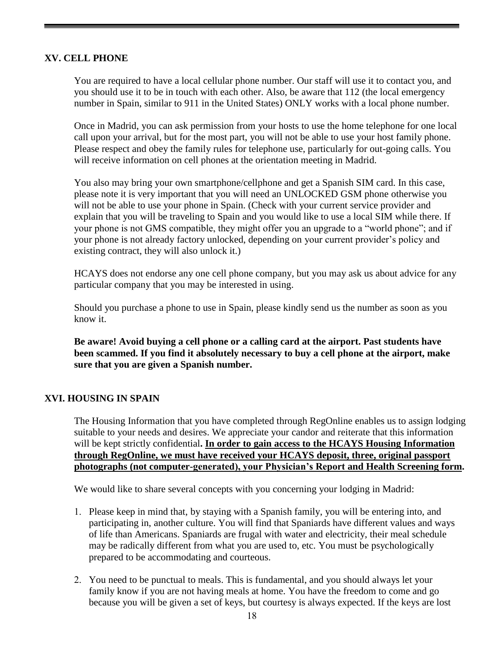## **XV. CELL PHONE**

You are required to have a local cellular phone number. Our staff will use it to contact you, and you should use it to be in touch with each other. Also, be aware that 112 (the local emergency number in Spain, similar to 911 in the United States) ONLY works with a local phone number.

Once in Madrid, you can ask permission from your hosts to use the home telephone for one local call upon your arrival, but for the most part, you will not be able to use your host family phone. Please respect and obey the family rules for telephone use, particularly for out-going calls. You will receive information on cell phones at the orientation meeting in Madrid.

You also may bring your own smartphone/cellphone and get a Spanish SIM card. In this case, please note it is very important that you will need an UNLOCKED GSM phone otherwise you will not be able to use your phone in Spain. (Check with your current service provider and explain that you will be traveling to Spain and you would like to use a local SIM while there. If your phone is not GMS compatible, they might offer you an upgrade to a "world phone"; and if your phone is not already factory unlocked, depending on your current provider's policy and existing contract, they will also unlock it.)

HCAYS does not endorse any one cell phone company, but you may ask us about advice for any particular company that you may be interested in using.

Should you purchase a phone to use in Spain, please kindly send us the number as soon as you know it.

**Be aware! Avoid buying a cell phone or a calling card at the airport. Past students have been scammed. If you find it absolutely necessary to buy a cell phone at the airport, make sure that you are given a Spanish number.**

## **XVI. HOUSING IN SPAIN**

The Housing Information that you have completed through RegOnline enables us to assign lodging suitable to your needs and desires. We appreciate your candor and reiterate that this information will be kept strictly confidential**. In order to gain access to the HCAYS Housing Information through RegOnline, we must have received your HCAYS deposit, three, original passport photographs (not computer-generated), your Physician's Report and Health Screening form.**

We would like to share several concepts with you concerning your lodging in Madrid:

- 1. Please keep in mind that, by staying with a Spanish family, you will be entering into, and participating in, another culture. You will find that Spaniards have different values and ways of life than Americans. Spaniards are frugal with water and electricity, their meal schedule may be radically different from what you are used to, etc. You must be psychologically prepared to be accommodating and courteous.
- 2. You need to be punctual to meals. This is fundamental, and you should always let your family know if you are not having meals at home. You have the freedom to come and go because you will be given a set of keys, but courtesy is always expected. If the keys are lost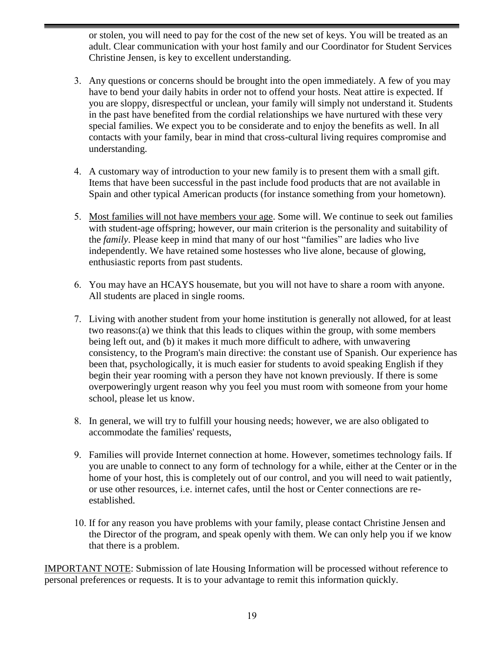or stolen, you will need to pay for the cost of the new set of keys. You will be treated as an adult. Clear communication with your host family and our Coordinator for Student Services Christine Jensen, is key to excellent understanding.

- 3. Any questions or concerns should be brought into the open immediately. A few of you may have to bend your daily habits in order not to offend your hosts. Neat attire is expected. If you are sloppy, disrespectful or unclean, your family will simply not understand it. Students in the past have benefited from the cordial relationships we have nurtured with these very special families. We expect you to be considerate and to enjoy the benefits as well. In all contacts with your family, bear in mind that cross-cultural living requires compromise and understanding.
- 4. A customary way of introduction to your new family is to present them with a small gift. Items that have been successful in the past include food products that are not available in Spain and other typical American products (for instance something from your hometown).
- 5. Most families will not have members your age. Some will. We continue to seek out families with student-age offspring; however, our main criterion is the personality and suitability of the *family*. Please keep in mind that many of our host "families" are ladies who live independently. We have retained some hostesses who live alone, because of glowing, enthusiastic reports from past students.
- 6. You may have an HCAYS housemate, but you will not have to share a room with anyone. All students are placed in single rooms.
- 7. Living with another student from your home institution is generally not allowed, for at least two reasons:(a) we think that this leads to cliques within the group, with some members being left out, and (b) it makes it much more difficult to adhere, with unwavering consistency, to the Program's main directive: the constant use of Spanish. Our experience has been that, psychologically, it is much easier for students to avoid speaking English if they begin their year rooming with a person they have not known previously. If there is some overpoweringly urgent reason why you feel you must room with someone from your home school, please let us know.
- 8. In general, we will try to fulfill your housing needs; however, we are also obligated to accommodate the families' requests,
- 9. Families will provide Internet connection at home. However, sometimes technology fails. If you are unable to connect to any form of technology for a while, either at the Center or in the home of your host, this is completely out of our control, and you will need to wait patiently, or use other resources, i.e. internet cafes, until the host or Center connections are reestablished.
- 10. If for any reason you have problems with your family, please contact Christine Jensen and the Director of the program, and speak openly with them. We can only help you if we know that there is a problem.

IMPORTANT NOTE: Submission of late Housing Information will be processed without reference to personal preferences or requests. It is to your advantage to remit this information quickly.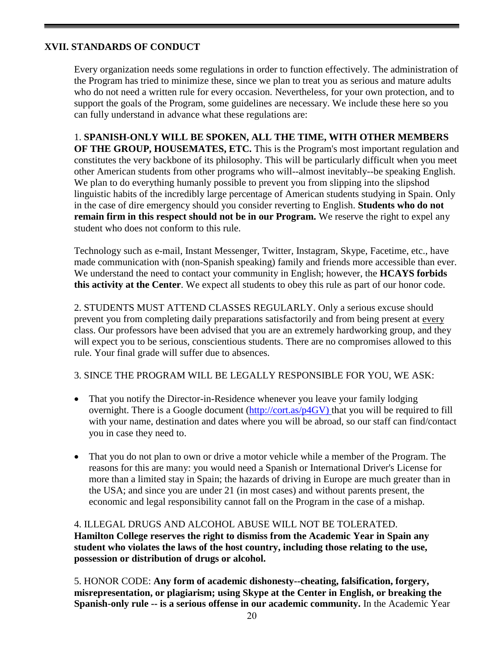## **XVII. STANDARDS OF CONDUCT**

Every organization needs some regulations in order to function effectively. The administration of the Program has tried to minimize these, since we plan to treat you as serious and mature adults who do not need a written rule for every occasion. Nevertheless, for your own protection, and to support the goals of the Program, some guidelines are necessary. We include these here so you can fully understand in advance what these regulations are:

1. **SPANISH-ONLY WILL BE SPOKEN, ALL THE TIME, WITH OTHER MEMBERS OF THE GROUP, HOUSEMATES, ETC.** This is the Program's most important regulation and constitutes the very backbone of its philosophy. This will be particularly difficult when you meet other American students from other programs who will--almost inevitably--be speaking English. We plan to do everything humanly possible to prevent you from slipping into the slipshod linguistic habits of the incredibly large percentage of American students studying in Spain. Only in the case of dire emergency should you consider reverting to English. **Students who do not remain firm in this respect should not be in our Program.** We reserve the right to expel any student who does not conform to this rule.

Technology such as e-mail, Instant Messenger, Twitter, Instagram, Skype, Facetime, etc., have made communication with (non-Spanish speaking) family and friends more accessible than ever. We understand the need to contact your community in English; however, the **HCAYS forbids this activity at the Center**. We expect all students to obey this rule as part of our honor code.

2. STUDENTS MUST ATTEND CLASSES REGULARLY. Only a serious excuse should prevent you from completing daily preparations satisfactorily and from being present at every class. Our professors have been advised that you are an extremely hardworking group, and they will expect you to be serious, conscientious students. There are no compromises allowed to this rule. Your final grade will suffer due to absences.

3. SINCE THE PROGRAM WILL BE LEGALLY RESPONSIBLE FOR YOU, WE ASK:

- That you notify the Director-in-Residence whenever you leave your family lodging overnight. There is a Google document [\(http://cort.as/p4GV\)](http://cort.as/p4GV) that you will be required to fill with your name, destination and dates where you will be abroad, so our staff can find/contact you in case they need to.
- That you do not plan to own or drive a motor vehicle while a member of the Program. The reasons for this are many: you would need a Spanish or International Driver's License for more than a limited stay in Spain; the hazards of driving in Europe are much greater than in the USA; and since you are under 21 (in most cases) and without parents present, the economic and legal responsibility cannot fall on the Program in the case of a mishap.

## 4. ILLEGAL DRUGS AND ALCOHOL ABUSE WILL NOT BE TOLERATED. **Hamilton College reserves the right to dismiss from the Academic Year in Spain any student who violates the laws of the host country, including those relating to the use, possession or distribution of drugs or alcohol.**

5. HONOR CODE: **Any form of academic dishonesty--cheating, falsification, forgery, misrepresentation, or plagiarism; using Skype at the Center in English, or breaking the Spanish-only rule -- is a serious offense in our academic community.** In the Academic Year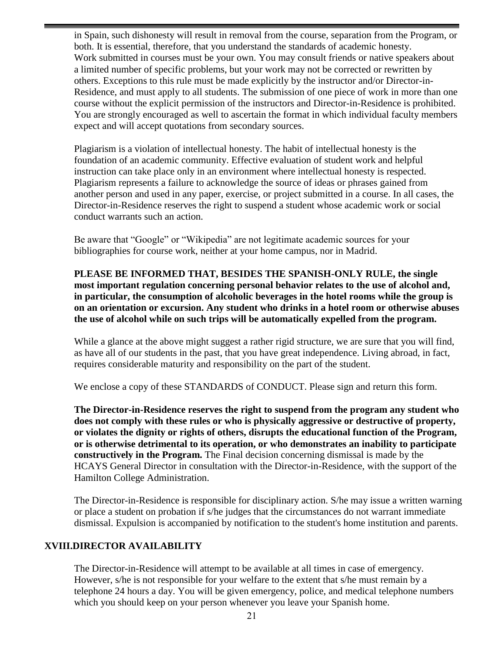in Spain, such dishonesty will result in removal from the course, separation from the Program, or both. It is essential, therefore, that you understand the standards of academic honesty. Work submitted in courses must be your own. You may consult friends or native speakers about a limited number of specific problems, but your work may not be corrected or rewritten by others. Exceptions to this rule must be made explicitly by the instructor and/or Director-in-Residence, and must apply to all students. The submission of one piece of work in more than one course without the explicit permission of the instructors and Director-in-Residence is prohibited. You are strongly encouraged as well to ascertain the format in which individual faculty members expect and will accept quotations from secondary sources.

Plagiarism is a violation of intellectual honesty. The habit of intellectual honesty is the foundation of an academic community. Effective evaluation of student work and helpful instruction can take place only in an environment where intellectual honesty is respected. Plagiarism represents a failure to acknowledge the source of ideas or phrases gained from another person and used in any paper, exercise, or project submitted in a course. In all cases, the Director-in-Residence reserves the right to suspend a student whose academic work or social conduct warrants such an action.

Be aware that "Google" or "Wikipedia" are not legitimate academic sources for your bibliographies for course work, neither at your home campus, nor in Madrid.

**PLEASE BE INFORMED THAT, BESIDES THE SPANISH-ONLY RULE, the single most important regulation concerning personal behavior relates to the use of alcohol and, in particular, the consumption of alcoholic beverages in the hotel rooms while the group is on an orientation or excursion. Any student who drinks in a hotel room or otherwise abuses the use of alcohol while on such trips will be automatically expelled from the program.**

While a glance at the above might suggest a rather rigid structure, we are sure that you will find, as have all of our students in the past, that you have great independence. Living abroad, in fact, requires considerable maturity and responsibility on the part of the student.

We enclose a copy of these STANDARDS of CONDUCT. Please sign and return this form.

**The Director-in-Residence reserves the right to suspend from the program any student who does not comply with these rules or who is physically aggressive or destructive of property, or violates the dignity or rights of others, disrupts the educational function of the Program, or is otherwise detrimental to its operation, or who demonstrates an inability to participate constructively in the Program.** The Final decision concerning dismissal is made by the HCAYS General Director in consultation with the Director-in-Residence, with the support of the Hamilton College Administration.

The Director-in-Residence is responsible for disciplinary action. S/he may issue a written warning or place a student on probation if s/he judges that the circumstances do not warrant immediate dismissal. Expulsion is accompanied by notification to the student's home institution and parents.

## **XVIII.DIRECTOR AVAILABILITY**

The Director-in-Residence will attempt to be available at all times in case of emergency. However, s/he is not responsible for your welfare to the extent that s/he must remain by a telephone 24 hours a day. You will be given emergency, police, and medical telephone numbers which you should keep on your person whenever you leave your Spanish home.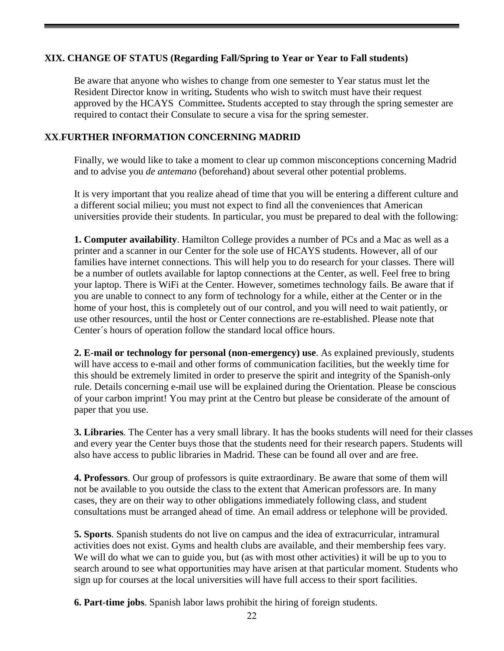## **XIX. CHANGE OF STATUS (Regarding Fall/Spring to Year or Year to Fall students)**

Be aware that anyone who wishes to change from one semester to Year status must let the Resident Director know in writing**.** Students who wish to switch must have their request approved by the HCAYS Committee**.** Students accepted to stay through the spring semester are required to contact their Consulate to secure a visa for the spring semester.

## **XX**.**FURTHER INFORMATION CONCERNING MADRID**

Finally, we would like to take a moment to clear up common misconceptions concerning Madrid and to advise you *de antemano* (beforehand) about several other potential problems.

It is very important that you realize ahead of time that you will be entering a different culture and a different social milieu; you must not expect to find all the conveniences that American universities provide their students. In particular, you must be prepared to deal with the following:

**1. Computer availability**. Hamilton College provides a number of PCs and a Mac as well as a printer and a scanner in our Center for the sole use of HCAYS students. However, all of our families have internet connections. This will help you to do research for your classes. There will be a number of outlets available for laptop connections at the Center, as well. Feel free to bring your laptop. There is WiFi at the Center. However, sometimes technology fails. Be aware that if you are unable to connect to any form of technology for a while, either at the Center or in the home of your host, this is completely out of our control, and you will need to wait patiently, or use other resources, until the host or Center connections are re-established. Please note that Center´s hours of operation follow the standard local office hours.

**2. E-mail or technology for personal (non-emergency) use**. As explained previously, students will have access to e-mail and other forms of communication facilities, but the weekly time for this should be extremely limited in order to preserve the spirit and integrity of the Spanish-only rule. Details concerning e-mail use will be explained during the Orientation. Please be conscious of your carbon imprint! You may print at the Centro but please be considerate of the amount of paper that you use.

**3. Libraries**. The Center has a very small library. It has the books students will need for their classes and every year the Center buys those that the students need for their research papers. Students will also have access to public libraries in Madrid. These can be found all over and are free.

**4. Professors**. Our group of professors is quite extraordinary. Be aware that some of them will not be available to you outside the class to the extent that American professors are. In many cases, they are on their way to other obligations immediately following class, and student consultations must be arranged ahead of time. An email address or telephone will be provided.

**5. Sports**. Spanish students do not live on campus and the idea of extracurricular, intramural activities does not exist. Gyms and health clubs are available, and their membership fees vary. We will do what we can to guide you, but (as with most other activities) it will be up to you to search around to see what opportunities may have arisen at that particular moment. Students who sign up for courses at the local universities will have full access to their sport facilities.

**6. Part-time jobs**. Spanish labor laws prohibit the hiring of foreign students.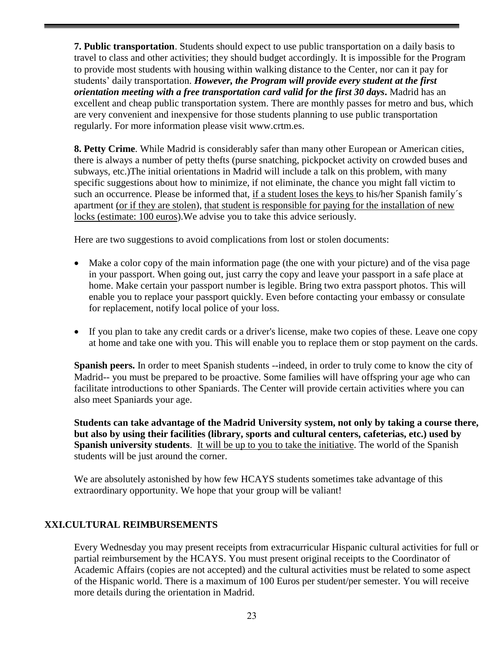**7. Public transportation**. Students should expect to use public transportation on a daily basis to travel to class and other activities; they should budget accordingly. It is impossible for the Program to provide most students with housing within walking distance to the Center, nor can it pay for students' daily transportation. *However, the Program will provide every student at the first orientation meeting with a free transportation card valid for the first 30 days***.** Madrid has an excellent and cheap public transportation system. There are monthly passes for metro and bus, which are very convenient and inexpensive for those students planning to use public transportation regularly. For more information please visit www.crtm.es.

**8. Petty Crime**. While Madrid is considerably safer than many other European or American cities, there is always a number of petty thefts (purse snatching, pickpocket activity on crowded buses and subways, etc.)The initial orientations in Madrid will include a talk on this problem, with many specific suggestions about how to minimize, if not eliminate, the chance you might fall victim to such an occurrence. Please be informed that, if a student loses the keys to his/her Spanish family's apartment (or if they are stolen), that student is responsible for paying for the installation of new locks (estimate: 100 euros).We advise you to take this advice seriously.

Here are two suggestions to avoid complications from lost or stolen documents:

- Make a color copy of the main information page (the one with your picture) and of the visa page in your passport. When going out, just carry the copy and leave your passport in a safe place at home. Make certain your passport number is legible. Bring two extra passport photos. This will enable you to replace your passport quickly. Even before contacting your embassy or consulate for replacement, notify local police of your loss.
- If you plan to take any credit cards or a driver's license, make two copies of these. Leave one copy at home and take one with you. This will enable you to replace them or stop payment on the cards.

**Spanish peers.** In order to meet Spanish students --indeed, in order to truly come to know the city of Madrid-- you must be prepared to be proactive. Some families will have offspring your age who can facilitate introductions to other Spaniards. The Center will provide certain activities where you can also meet Spaniards your age.

**Students can take advantage of the Madrid University system, not only by taking a course there, but also by using their facilities (library, sports and cultural centers, cafeterias, etc.) used by Spanish university students**. It will be up to you to take the initiative. The world of the Spanish students will be just around the corner.

We are absolutely astonished by how few HCAYS students sometimes take advantage of this extraordinary opportunity. We hope that your group will be valiant!

## **XXI.CULTURAL REIMBURSEMENTS**

Every Wednesday you may present receipts from extracurricular Hispanic cultural activities for full or partial reimbursement by the HCAYS. You must present original receipts to the Coordinator of Academic Affairs (copies are not accepted) and the cultural activities must be related to some aspect of the Hispanic world. There is a maximum of 100 Euros per student/per semester. You will receive more details during the orientation in Madrid.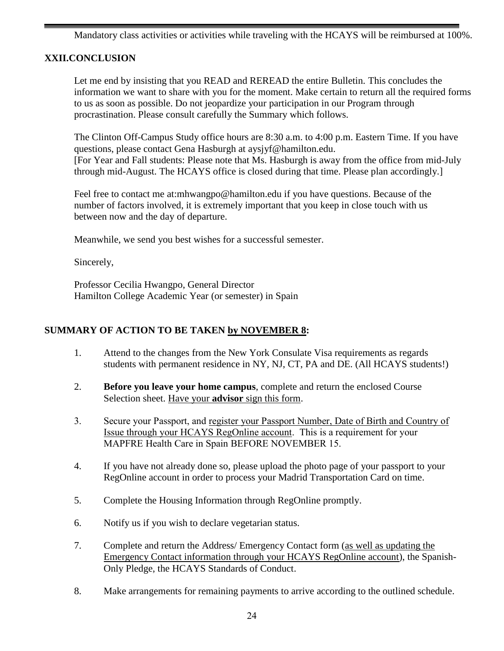Mandatory class activities or activities while traveling with the HCAYS will be reimbursed at 100%.

## **XXII.CONCLUSION**

Let me end by insisting that you READ and REREAD the entire Bulletin. This concludes the information we want to share with you for the moment. Make certain to return all the required forms to us as soon as possible. Do not jeopardize your participation in our Program through procrastination. Please consult carefully the Summary which follows.

The Clinton Off-Campus Study office hours are 8:30 a.m. to 4:00 p.m. Eastern Time. If you have questions, please contact Gena Hasburgh at [aysjyf@hamilton.edu.](mailto:ghasburgh@hamilton.edu) [For Year and Fall students: Please note that Ms. Hasburgh is away from the office from mid-July through mid-August. The HCAYS office is closed during that time. Please plan accordingly.]

Feel free to contact me at:mhwangpo@hamilton.edu if you have questions. Because of the number of factors involved, it is extremely important that you keep in close touch with us between now and the day of departure.

Meanwhile, we send you best wishes for a successful semester.

Sincerely,

Professor Cecilia Hwangpo, General Director Hamilton College Academic Year (or semester) in Spain

## **SUMMARY OF ACTION TO BE TAKEN by NOVEMBER 8:**

- 1. Attend to the changes from the New York Consulate Visa requirements as regards students with permanent residence in NY, NJ, CT, PA and DE. (All HCAYS students!)
- 2. **Before you leave your home campus**, complete and return the enclosed Course Selection sheet. Have your **advisor** sign this form.
- 3. Secure your Passport, and register your Passport Number, Date of Birth and Country of Issue through your HCAYS RegOnline account. This is a requirement for your MAPFRE Health Care in Spain BEFORE NOVEMBER 15.
- 4. If you have not already done so, please upload the photo page of your passport to your RegOnline account in order to process your Madrid Transportation Card on time.
- 5. Complete the Housing Information through RegOnline promptly.
- 6. Notify us if you wish to declare vegetarian status.
- 7. Complete and return the Address/ Emergency Contact form (as well as updating the Emergency Contact information through your HCAYS RegOnline account), the Spanish-Only Pledge, the HCAYS Standards of Conduct.
- 8. Make arrangements for remaining payments to arrive according to the outlined schedule.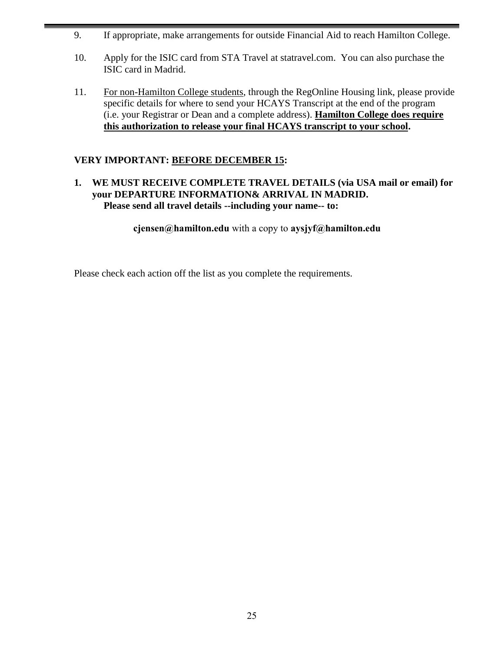- 9. If appropriate, make arrangements for outside Financial Aid to reach Hamilton College.
- 10. Apply for the ISIC card from STA Travel at statravel.com. You can also purchase the ISIC card in Madrid.
- 11. For non-Hamilton College students, through the RegOnline Housing link, please provide specific details for where to send your HCAYS Transcript at the end of the program (i.e. your Registrar or Dean and a complete address). **Hamilton College does require this authorization to release your final HCAYS transcript to your school.**

## **VERY IMPORTANT: BEFORE DECEMBER 15:**

## **1. WE MUST RECEIVE COMPLETE TRAVEL DETAILS (via USA mail or email) for your DEPARTURE INFORMATION& ARRIVAL IN MADRID. Please send all travel details --including your name-- to:**

**[cjensen@hamilton.edu](mailto:cjensen@hamilton.edu)** with a copy to **[aysjyf@hamilton.edu](mailto:aysjyf@hamilton.edu)**

Please check each action off the list as you complete the requirements.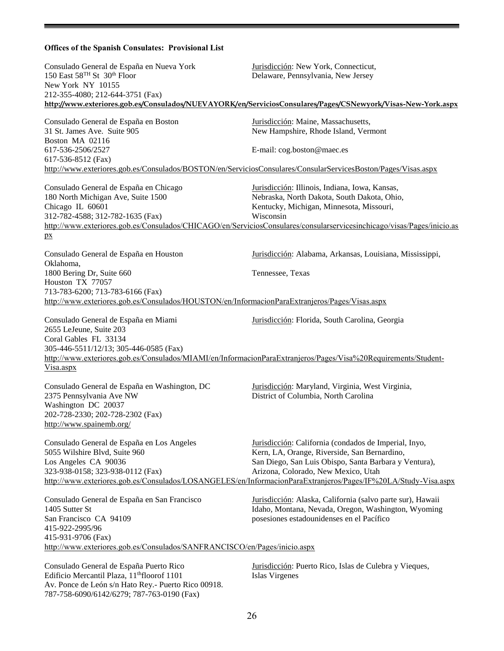## **Offices of the Spanish Consulates: Provisional List**

Av. Ponce de León s/n Hato Rey.- Puerto Rico 00918. 787-758-6090/6142/6279; 787-763-0190 (Fax)

| Consulado General de España en Nueva York<br>150 East 58 <sup>TH</sup> St 30 <sup>th</sup> Floor<br>New York NY 10155                                                                                                                                             | Jurisdicción: New York, Connecticut,<br>Delaware, Pennsylvania, New Jersey                                                                                                                                                                                                                                              |
|-------------------------------------------------------------------------------------------------------------------------------------------------------------------------------------------------------------------------------------------------------------------|-------------------------------------------------------------------------------------------------------------------------------------------------------------------------------------------------------------------------------------------------------------------------------------------------------------------------|
| 212-355-4080; 212-644-3751 (Fax)                                                                                                                                                                                                                                  | http://www.exteriores.gob.es/Consulados/NUEVAYORK/en/ServiciosConsulares/Pages/CSNewyork/Visas-New-York.aspx                                                                                                                                                                                                            |
| Consulado General de España en Boston<br>31 St. James Ave. Suite 905<br>Boston MA 02116<br>617-536-2506/2527<br>617-536-8512 (Fax)                                                                                                                                | Jurisdicción: Maine, Massachusetts,<br>New Hampshire, Rhode Island, Vermont<br>E-mail: cog.boston@maec.es                                                                                                                                                                                                               |
| http://www.exteriores.gob.es/Consulados/BOSTON/en/ServiciosConsulares/ConsularServicesBoston/Pages/Visas.aspx                                                                                                                                                     |                                                                                                                                                                                                                                                                                                                         |
| Consulado General de España en Chicago<br>180 North Michigan Ave, Suite 1500<br>Chicago IL 60601<br>312-782-4588; 312-782-1635 (Fax)<br>px                                                                                                                        | Jurisdicción: Illinois, Indiana, Iowa, Kansas,<br>Nebraska, North Dakota, South Dakota, Ohio,<br>Kentucky, Michigan, Minnesota, Missouri,<br>Wisconsin<br>http://www.exteriores.gob.es/Consulados/CHICAGO/en/ServiciosConsulares/consularservicesinchicago/visas/Pages/inicio.as                                        |
| Consulado General de España en Houston<br>Oklahoma,                                                                                                                                                                                                               | Jurisdicción: Alabama, Arkansas, Louisiana, Mississippi,                                                                                                                                                                                                                                                                |
| 1800 Bering Dr, Suite 660<br>Houston TX 77057<br>713-783-6200; 713-783-6166 (Fax)<br>http://www.exteriores.gob.es/Consulados/HOUSTON/en/InformacionParaExtranjeros/Pages/Visas.aspx                                                                               | Tennessee, Texas                                                                                                                                                                                                                                                                                                        |
|                                                                                                                                                                                                                                                                   |                                                                                                                                                                                                                                                                                                                         |
| Consulado General de España en Miami<br>2655 LeJeune, Suite 203<br>Coral Gables FL 33134<br>305-446-5511/12/13; 305-446-0585 (Fax)<br>http://www.exteriores.gob.es/Consulados/MIAMI/en/InformacionParaExtranjeros/Pages/Visa%20Requirements/Student-<br>Visa.aspx | Jurisdicción: Florida, South Carolina, Georgia                                                                                                                                                                                                                                                                          |
| Consulado General de España en Washington, DC<br>2375 Pennsylvania Ave NW<br>Washington DC 20037<br>202-728-2330; 202-728-2302 (Fax)<br>http://www.spainemb.org/                                                                                                  | Jurisdicción: Maryland, Virginia, West Virginia,<br>District of Columbia, North Carolina                                                                                                                                                                                                                                |
| Consulado General de España en Los Angeles<br>5055 Wilshire Blvd, Suite 960<br>Los Angeles CA 90036<br>323-938-0158; 323-938-0112 (Fax)                                                                                                                           | Jurisdicción: California (condados de Imperial, Inyo,<br>Kern, LA, Orange, Riverside, San Bernardino,<br>San Diego, San Luis Obispo, Santa Barbara y Ventura),<br>Arizona, Colorado, New Mexico, Utah<br>http://www.exteriores.gob.es/Consulados/LOSANGELES/en/InformacionParaExtranjeros/Pages/IF%20LA/Study-Visa.aspx |
| Consulado General de España en San Francisco<br>1405 Sutter St<br>San Francisco CA 94109<br>415-922-2995/96<br>415-931-9706 (Fax)<br>http://www.exteriores.gob.es/Consulados/SANFRANCISCO/en/Pages/inicio.aspx                                                    | Jurisdicción: Alaska, California (salvo parte sur), Hawaii<br>Idaho, Montana, Nevada, Oregon, Washington, Wyoming<br>posesiones estadounidenses en el Pacífico                                                                                                                                                          |
| Consulado General de España Puerto Rico<br>Edificio Mercantil Plaza, 11 <sup>th</sup> floorof 1101                                                                                                                                                                | Jurisdicción: Puerto Rico, Islas de Culebra y Vieques,<br>Islas Virgenes                                                                                                                                                                                                                                                |

26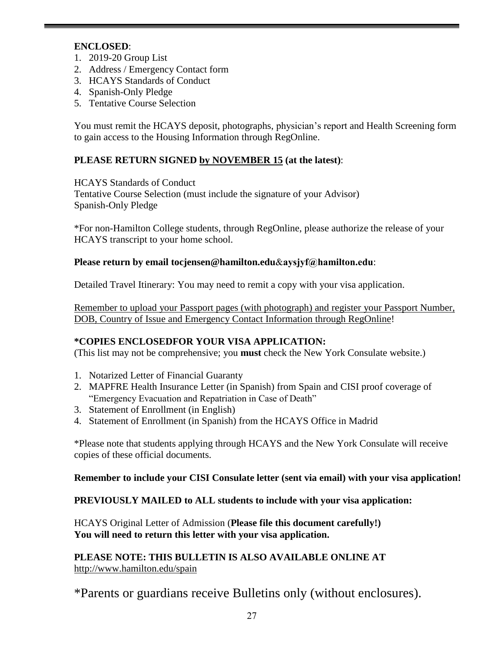## **ENCLOSED**:

- 1. 2019-20 Group List
- 2. Address / Emergency Contact form
- 3. HCAYS Standards of Conduct
- 4. Spanish-Only Pledge
- 5. Tentative Course Selection

You must remit the HCAYS deposit, photographs, physician's report and Health Screening form to gain access to the Housing Information through RegOnline.

## **PLEASE RETURN SIGNED by NOVEMBER 15 (at the latest)**:

HCAYS Standards of Conduct

Tentative Course Selection (must include the signature of your Advisor) Spanish-Only Pledge

\*For non-Hamilton College students, through RegOnline, please authorize the release of your HCAYS transcript to your home school.

## **Please return by email t[ocjensen@hamilton.edu](mailto:cjensen@hamilton.edu)**&**aysjyf@hamilton.edu**:

Detailed Travel Itinerary: You may need to remit a copy with your visa application.

Remember to upload your Passport pages (with photograph) and register your Passport Number, DOB, Country of Issue and Emergency Contact Information through RegOnline!

## **\*COPIES ENCLOSEDFOR YOUR VISA APPLICATION:**

(This list may not be comprehensive; you **must** check the New York Consulate website.)

- 1. Notarized Letter of Financial Guaranty
- 2. MAPFRE Health Insurance Letter (in Spanish) from Spain and CISI proof coverage of "Emergency Evacuation and Repatriation in Case of Death"
- 3. Statement of Enrollment (in English)
- 4. Statement of Enrollment (in Spanish) from the HCAYS Office in Madrid

\*Please note that students applying through HCAYS and the New York Consulate will receive copies of these official documents.

## **Remember to include your CISI Consulate letter (sent via email) with your visa application!**

**PREVIOUSLY MAILED to ALL students to include with your visa application:**

HCAYS Original Letter of Admission (**Please file this document carefully!) You will need to return this letter with your visa application.**

**PLEASE NOTE: THIS BULLETIN IS ALSO AVAILABLE ONLINE AT**  [http://www.hamilton.edu/spain](http://www.hamilton.edu/spain/university)

\*Parents or guardians receive Bulletins only (without enclosures).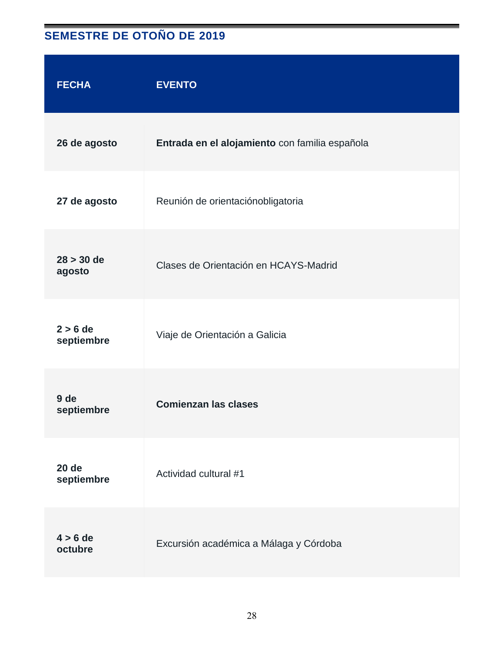## **SEMESTRE DE OTOÑO DE 2019**

| <b>FECHA</b>               | <b>EVENTO</b>                                  |
|----------------------------|------------------------------------------------|
| 26 de agosto               | Entrada en el alojamiento con familia española |
| 27 de agosto               | Reunión de orientaciónobligatoria              |
| $28 > 30$ de<br>agosto     | Clases de Orientación en HCAYS-Madrid          |
| $2 > 6$ de<br>septiembre   | Viaje de Orientación a Galicia                 |
| 9 de<br>septiembre         | <b>Comienzan las clases</b>                    |
| <b>20 de</b><br>septiembre | Actividad cultural #1                          |
| $4 > 6$ de<br>octubre      | Excursión académica a Málaga y Córdoba         |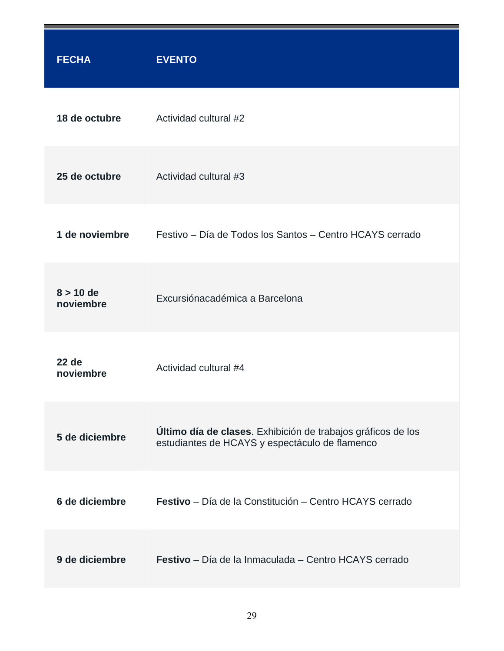| <b>FECHA</b>              | <b>EVENTO</b>                                                                                                  |
|---------------------------|----------------------------------------------------------------------------------------------------------------|
| 18 de octubre             | Actividad cultural #2                                                                                          |
| 25 de octubre             | Actividad cultural #3                                                                                          |
| 1 de noviembre            | Festivo – Día de Todos los Santos – Centro HCAYS cerrado                                                       |
| $8 > 10$ de<br>noviembre  | Excursiónacadémica a Barcelona                                                                                 |
| <b>22 de</b><br>noviembre | Actividad cultural #4                                                                                          |
| 5 de diciembre            | Último día de clases. Exhibición de trabajos gráficos de los<br>estudiantes de HCAYS y espectáculo de flamenco |
| 6 de diciembre            | Festivo - Día de la Constitución - Centro HCAYS cerrado                                                        |
| 9 de diciembre            | Festivo - Día de la Inmaculada - Centro HCAYS cerrado                                                          |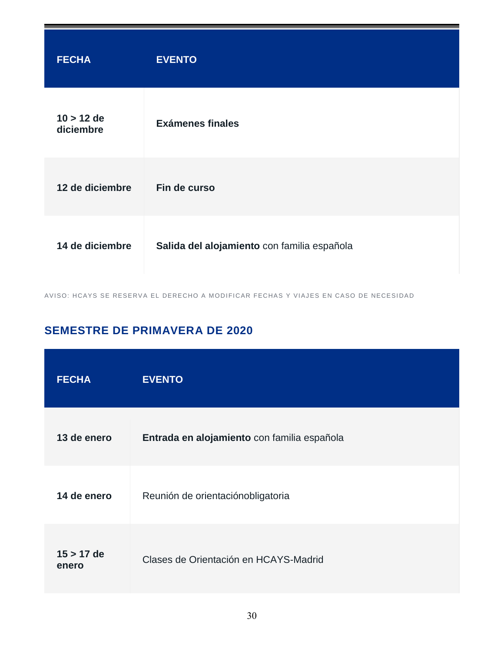| <b>FECHA</b>              | <b>EVENTO</b>                               |
|---------------------------|---------------------------------------------|
| $10 > 12$ de<br>diciembre | <b>Exámenes finales</b>                     |
| 12 de diciembre           | Fin de curso                                |
| 14 de diciembre           | Salida del alojamiento con familia española |

AVISO: HCAYS SE RESERVA EL DERECHO A MODIFICAR FECHAS Y VIAJES EN CASO DE NECESIDAD

## **SEMESTRE DE PRIMAVERA DE 2020**

| <b>FECHA</b>          | <b>EVENTO</b>                               |
|-----------------------|---------------------------------------------|
| 13 de enero           | Entrada en alojamiento con familia española |
| 14 de enero           | Reunión de orientaciónobligatoria           |
| $15 > 17$ de<br>enero | Clases de Orientación en HCAYS-Madrid       |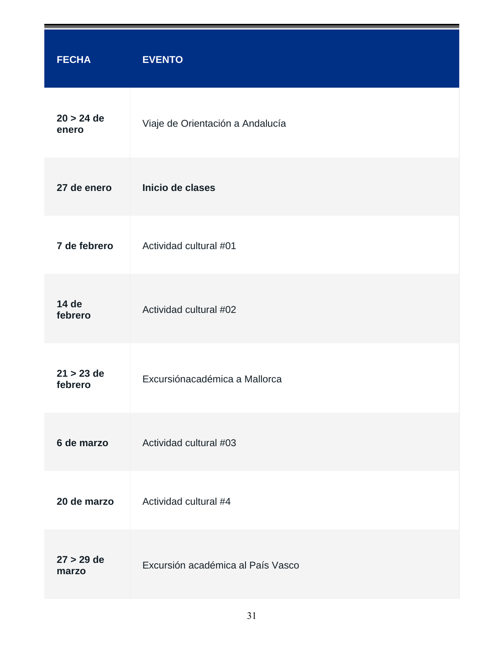| <b>FECHA</b>            | <b>EVENTO</b>                     |
|-------------------------|-----------------------------------|
| $20 > 24$ de<br>enero   | Viaje de Orientación a Andalucía  |
| 27 de enero             | Inicio de clases                  |
| 7 de febrero            | Actividad cultural #01            |
| 14 de<br>febrero        | Actividad cultural #02            |
| $21 > 23$ de<br>febrero | Excursiónacadémica a Mallorca     |
| 6 de marzo              | Actividad cultural #03            |
| 20 de marzo             | Actividad cultural #4             |
| $27 > 29$ de<br>marzo   | Excursión académica al País Vasco |